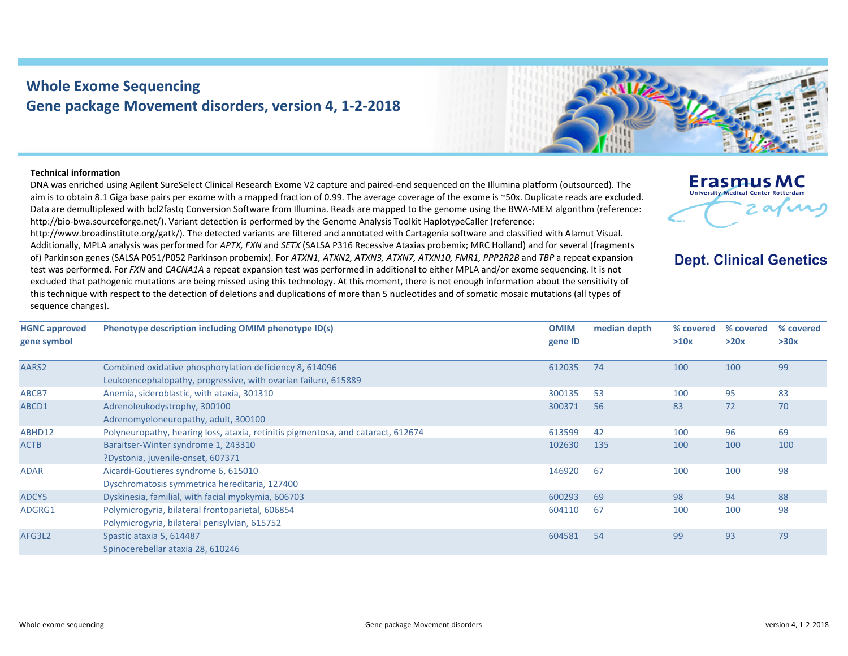## **Whole Exome Sequencing Gene package Movement disorders, version 4, 1‐2‐2018**



## **Technical information**

DNA was enriched using Agilent SureSelect Clinical Research Exome V2 capture and paired‐end sequenced on the Illumina platform (outsourced). The aim is to obtain 8.1 Giga base pairs per exome with <sup>a</sup> mapped fraction of 0.99. The average coverage of the exome is ~50x. Duplicate reads are excluded. Data are demultiplexed with bcl2fastq Conversion Software from Illumina. Reads are mapped to the genome using the BWA‐MEM algorithm (reference: http://bio-bwa.sourceforge.net/). Variant detection is performed by the Genome Analysis Toolkit HaplotypeCaller (reference:

http://www.broadinstitute.org/gatk/). The detected variants are filtered and annotated with Cartagenia software and classified with Alamut Visual. Additionally, MPLA analysis was performed for *APTX, FXN* and *SETX* (SALSA P316 Recessive Ataxias probemix; MRC Holland) and for several (fragments of) Parkinson genes (SALSA P051/P052 Parkinson probemix). For *ATXN1, ATXN2, ATXN3, ATXN7, ATXN10, FMR1, PPP2R2B* and *TBP* <sup>a</sup> repeat expansion test was performed. For *FXN* and *CACNA1A* <sup>a</sup> repeat expansion test was performed in additional to either MPLA and/or exome sequencing. It is not excluded that pathogenic mutations are being missed using this technology. At this moment, there is not enough information about the sensitivity of this technique with respect to the detection of deletions and duplications of more than 5 nucleotides and of somatic mosaic mutations (all types of sequence changes).

| <b>Erasmus MC</b><br><b>University Medical Center Rotterdam</b> |  |
|-----------------------------------------------------------------|--|
|                                                                 |  |

## **Dept. Clinical Genetics**

| <b>HGNC approved</b><br>gene symbol | Phenotype description including OMIM phenotype ID(s)                             | <b>OMIM</b><br>gene ID | median depth | % covered<br>>10x | % covered<br>>20x | % covered<br>>30x |
|-------------------------------------|----------------------------------------------------------------------------------|------------------------|--------------|-------------------|-------------------|-------------------|
|                                     |                                                                                  |                        |              |                   |                   |                   |
| AARS2                               | Combined oxidative phosphorylation deficiency 8, 614096                          | 612035                 | 74           | 100               | 100               | 99                |
|                                     | Leukoencephalopathy, progressive, with ovarian failure, 615889                   |                        |              |                   |                   |                   |
| ABCB7                               | Anemia, sideroblastic, with ataxia, 301310                                       | 300135                 | 53           | 100               | 95                | 83                |
| ABCD1                               | Adrenoleukodystrophy, 300100                                                     | 300371                 | 56           | 83                | 72                | 70                |
|                                     | Adrenomyeloneuropathy, adult, 300100                                             |                        |              |                   |                   |                   |
| ABHD12                              | Polyneuropathy, hearing loss, ataxia, retinitis pigmentosa, and cataract, 612674 | 613599                 | 42           | 100               | 96                | 69                |
| <b>ACTB</b>                         | Baraitser-Winter syndrome 1, 243310                                              | 102630                 | 135          | 100               | 100               | 100               |
|                                     | ?Dystonia, juvenile-onset, 607371                                                |                        |              |                   |                   |                   |
| <b>ADAR</b>                         | Aicardi-Goutieres syndrome 6, 615010                                             | 146920                 | 67           | 100               | 100               | 98                |
|                                     | Dyschromatosis symmetrica hereditaria, 127400                                    |                        |              |                   |                   |                   |
| ADCY5                               | Dyskinesia, familial, with facial myokymia, 606703                               | 600293                 | 69           | 98                | 94                | 88                |
| ADGRG1                              | Polymicrogyria, bilateral frontoparietal, 606854                                 | 604110                 | 67           | 100               | 100               | 98                |
|                                     | Polymicrogyria, bilateral perisylvian, 615752                                    |                        |              |                   |                   |                   |
| AFG3L2                              | Spastic ataxia 5, 614487                                                         | 604581                 | 54           | 99                | 93                | 79                |
|                                     | Spinocerebellar ataxia 28, 610246                                                |                        |              |                   |                   |                   |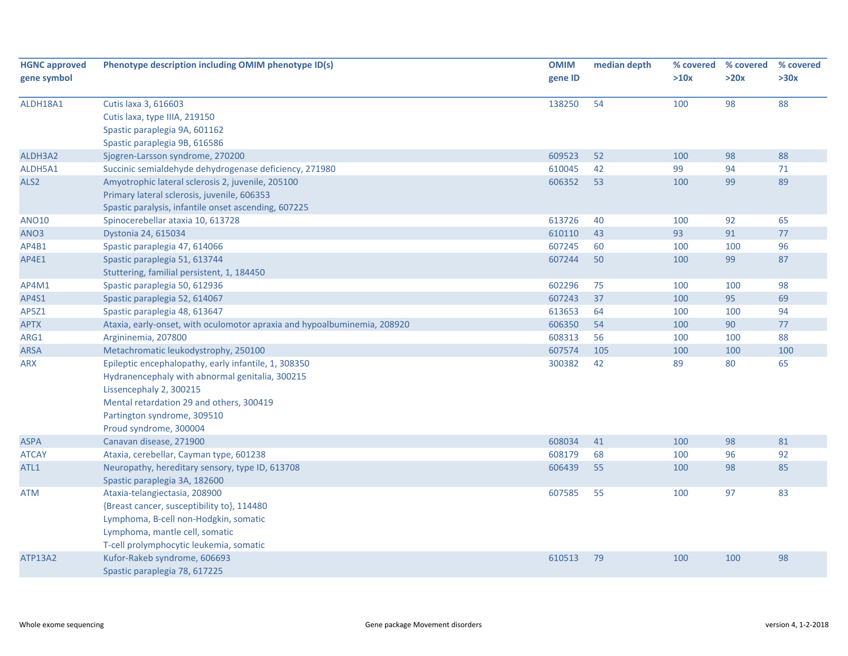| >30x<br>gene symbol<br>>10x<br>>20x<br>gene ID<br>98<br>88<br>ALDH18A1<br>Cutis laxa 3, 616603<br>138250<br>54<br>100<br>Cutis laxa, type IIIA, 219150<br>Spastic paraplegia 9A, 601162<br>Spastic paraplegia 9B, 616586<br>609523<br>98<br>ALDH3A2<br>Sjogren-Larsson syndrome, 270200<br>52<br>100<br>88<br>42<br>Succinic semialdehyde dehydrogenase deficiency, 271980<br>610045<br>99<br>94<br>71<br>ALDH5A1<br>89<br>606352<br>53<br>99<br>ALS <sub>2</sub><br>Amyotrophic lateral sclerosis 2, juvenile, 205100<br>100<br>Primary lateral sclerosis, juvenile, 606353<br>Spastic paralysis, infantile onset ascending, 607225<br><b>ANO10</b><br>613726<br>40<br>92<br>65<br>Spinocerebellar ataxia 10, 613728<br>100<br>610110<br>43<br>93<br>91<br>77<br>ANO3<br>Dystonia 24, 615034<br>96<br>607245<br>60<br>100<br>AP4B1<br>Spastic paraplegia 47, 614066<br>100<br>607244<br>99<br>87<br>AP4E1<br>Spastic paraplegia 51, 613744<br>50<br>100<br>Stuttering, familial persistent, 1, 184450<br>98<br>602296<br>75<br>AP4M1<br>Spastic paraplegia 50, 612936<br>100<br>100<br>95<br>69<br>AP4S1<br>Spastic paraplegia 52, 614067<br>607243<br>37<br>100<br>94<br>AP5Z1<br>Spastic paraplegia 48, 613647<br>613653<br>64<br>100<br>100<br><b>APTX</b><br>Ataxia, early-onset, with oculomotor apraxia and hypoalbuminemia, 208920<br>606350<br>54<br>100<br>90<br>77<br>88<br>608313<br>56<br>100<br>ARG1<br>Argininemia, 207800<br>100<br><b>ARSA</b><br>Metachromatic leukodystrophy, 250100<br>607574<br>105<br>100<br>100<br>100<br>Epileptic encephalopathy, early infantile, 1, 308350<br>300382<br>42<br>89<br>80<br>65<br>ARX<br>Hydranencephaly with abnormal genitalia, 300215<br>Lissencephaly 2, 300215 | <b>HGNC approved</b> | Phenotype description including OMIM phenotype ID(s) | <b>OMIM</b> | median depth | % covered % covered | % covered |
|------------------------------------------------------------------------------------------------------------------------------------------------------------------------------------------------------------------------------------------------------------------------------------------------------------------------------------------------------------------------------------------------------------------------------------------------------------------------------------------------------------------------------------------------------------------------------------------------------------------------------------------------------------------------------------------------------------------------------------------------------------------------------------------------------------------------------------------------------------------------------------------------------------------------------------------------------------------------------------------------------------------------------------------------------------------------------------------------------------------------------------------------------------------------------------------------------------------------------------------------------------------------------------------------------------------------------------------------------------------------------------------------------------------------------------------------------------------------------------------------------------------------------------------------------------------------------------------------------------------------------------------------------------------------------------------------------------------------------|----------------------|------------------------------------------------------|-------------|--------------|---------------------|-----------|
|                                                                                                                                                                                                                                                                                                                                                                                                                                                                                                                                                                                                                                                                                                                                                                                                                                                                                                                                                                                                                                                                                                                                                                                                                                                                                                                                                                                                                                                                                                                                                                                                                                                                                                                              |                      |                                                      |             |              |                     |           |
|                                                                                                                                                                                                                                                                                                                                                                                                                                                                                                                                                                                                                                                                                                                                                                                                                                                                                                                                                                                                                                                                                                                                                                                                                                                                                                                                                                                                                                                                                                                                                                                                                                                                                                                              |                      |                                                      |             |              |                     |           |
|                                                                                                                                                                                                                                                                                                                                                                                                                                                                                                                                                                                                                                                                                                                                                                                                                                                                                                                                                                                                                                                                                                                                                                                                                                                                                                                                                                                                                                                                                                                                                                                                                                                                                                                              |                      |                                                      |             |              |                     |           |
|                                                                                                                                                                                                                                                                                                                                                                                                                                                                                                                                                                                                                                                                                                                                                                                                                                                                                                                                                                                                                                                                                                                                                                                                                                                                                                                                                                                                                                                                                                                                                                                                                                                                                                                              |                      |                                                      |             |              |                     |           |
|                                                                                                                                                                                                                                                                                                                                                                                                                                                                                                                                                                                                                                                                                                                                                                                                                                                                                                                                                                                                                                                                                                                                                                                                                                                                                                                                                                                                                                                                                                                                                                                                                                                                                                                              |                      |                                                      |             |              |                     |           |
|                                                                                                                                                                                                                                                                                                                                                                                                                                                                                                                                                                                                                                                                                                                                                                                                                                                                                                                                                                                                                                                                                                                                                                                                                                                                                                                                                                                                                                                                                                                                                                                                                                                                                                                              |                      |                                                      |             |              |                     |           |
|                                                                                                                                                                                                                                                                                                                                                                                                                                                                                                                                                                                                                                                                                                                                                                                                                                                                                                                                                                                                                                                                                                                                                                                                                                                                                                                                                                                                                                                                                                                                                                                                                                                                                                                              |                      |                                                      |             |              |                     |           |
|                                                                                                                                                                                                                                                                                                                                                                                                                                                                                                                                                                                                                                                                                                                                                                                                                                                                                                                                                                                                                                                                                                                                                                                                                                                                                                                                                                                                                                                                                                                                                                                                                                                                                                                              |                      |                                                      |             |              |                     |           |
|                                                                                                                                                                                                                                                                                                                                                                                                                                                                                                                                                                                                                                                                                                                                                                                                                                                                                                                                                                                                                                                                                                                                                                                                                                                                                                                                                                                                                                                                                                                                                                                                                                                                                                                              |                      |                                                      |             |              |                     |           |
|                                                                                                                                                                                                                                                                                                                                                                                                                                                                                                                                                                                                                                                                                                                                                                                                                                                                                                                                                                                                                                                                                                                                                                                                                                                                                                                                                                                                                                                                                                                                                                                                                                                                                                                              |                      |                                                      |             |              |                     |           |
|                                                                                                                                                                                                                                                                                                                                                                                                                                                                                                                                                                                                                                                                                                                                                                                                                                                                                                                                                                                                                                                                                                                                                                                                                                                                                                                                                                                                                                                                                                                                                                                                                                                                                                                              |                      |                                                      |             |              |                     |           |
|                                                                                                                                                                                                                                                                                                                                                                                                                                                                                                                                                                                                                                                                                                                                                                                                                                                                                                                                                                                                                                                                                                                                                                                                                                                                                                                                                                                                                                                                                                                                                                                                                                                                                                                              |                      |                                                      |             |              |                     |           |
|                                                                                                                                                                                                                                                                                                                                                                                                                                                                                                                                                                                                                                                                                                                                                                                                                                                                                                                                                                                                                                                                                                                                                                                                                                                                                                                                                                                                                                                                                                                                                                                                                                                                                                                              |                      |                                                      |             |              |                     |           |
|                                                                                                                                                                                                                                                                                                                                                                                                                                                                                                                                                                                                                                                                                                                                                                                                                                                                                                                                                                                                                                                                                                                                                                                                                                                                                                                                                                                                                                                                                                                                                                                                                                                                                                                              |                      |                                                      |             |              |                     |           |
|                                                                                                                                                                                                                                                                                                                                                                                                                                                                                                                                                                                                                                                                                                                                                                                                                                                                                                                                                                                                                                                                                                                                                                                                                                                                                                                                                                                                                                                                                                                                                                                                                                                                                                                              |                      |                                                      |             |              |                     |           |
|                                                                                                                                                                                                                                                                                                                                                                                                                                                                                                                                                                                                                                                                                                                                                                                                                                                                                                                                                                                                                                                                                                                                                                                                                                                                                                                                                                                                                                                                                                                                                                                                                                                                                                                              |                      |                                                      |             |              |                     |           |
|                                                                                                                                                                                                                                                                                                                                                                                                                                                                                                                                                                                                                                                                                                                                                                                                                                                                                                                                                                                                                                                                                                                                                                                                                                                                                                                                                                                                                                                                                                                                                                                                                                                                                                                              |                      |                                                      |             |              |                     |           |
|                                                                                                                                                                                                                                                                                                                                                                                                                                                                                                                                                                                                                                                                                                                                                                                                                                                                                                                                                                                                                                                                                                                                                                                                                                                                                                                                                                                                                                                                                                                                                                                                                                                                                                                              |                      |                                                      |             |              |                     |           |
|                                                                                                                                                                                                                                                                                                                                                                                                                                                                                                                                                                                                                                                                                                                                                                                                                                                                                                                                                                                                                                                                                                                                                                                                                                                                                                                                                                                                                                                                                                                                                                                                                                                                                                                              |                      |                                                      |             |              |                     |           |
|                                                                                                                                                                                                                                                                                                                                                                                                                                                                                                                                                                                                                                                                                                                                                                                                                                                                                                                                                                                                                                                                                                                                                                                                                                                                                                                                                                                                                                                                                                                                                                                                                                                                                                                              |                      |                                                      |             |              |                     |           |
|                                                                                                                                                                                                                                                                                                                                                                                                                                                                                                                                                                                                                                                                                                                                                                                                                                                                                                                                                                                                                                                                                                                                                                                                                                                                                                                                                                                                                                                                                                                                                                                                                                                                                                                              |                      |                                                      |             |              |                     |           |
|                                                                                                                                                                                                                                                                                                                                                                                                                                                                                                                                                                                                                                                                                                                                                                                                                                                                                                                                                                                                                                                                                                                                                                                                                                                                                                                                                                                                                                                                                                                                                                                                                                                                                                                              |                      |                                                      |             |              |                     |           |
|                                                                                                                                                                                                                                                                                                                                                                                                                                                                                                                                                                                                                                                                                                                                                                                                                                                                                                                                                                                                                                                                                                                                                                                                                                                                                                                                                                                                                                                                                                                                                                                                                                                                                                                              |                      |                                                      |             |              |                     |           |
|                                                                                                                                                                                                                                                                                                                                                                                                                                                                                                                                                                                                                                                                                                                                                                                                                                                                                                                                                                                                                                                                                                                                                                                                                                                                                                                                                                                                                                                                                                                                                                                                                                                                                                                              |                      |                                                      |             |              |                     |           |
|                                                                                                                                                                                                                                                                                                                                                                                                                                                                                                                                                                                                                                                                                                                                                                                                                                                                                                                                                                                                                                                                                                                                                                                                                                                                                                                                                                                                                                                                                                                                                                                                                                                                                                                              |                      | Mental retardation 29 and others, 300419             |             |              |                     |           |
| Partington syndrome, 309510                                                                                                                                                                                                                                                                                                                                                                                                                                                                                                                                                                                                                                                                                                                                                                                                                                                                                                                                                                                                                                                                                                                                                                                                                                                                                                                                                                                                                                                                                                                                                                                                                                                                                                  |                      |                                                      |             |              |                     |           |
| Proud syndrome, 300004                                                                                                                                                                                                                                                                                                                                                                                                                                                                                                                                                                                                                                                                                                                                                                                                                                                                                                                                                                                                                                                                                                                                                                                                                                                                                                                                                                                                                                                                                                                                                                                                                                                                                                       |                      |                                                      |             |              |                     |           |
| 98<br>Canavan disease, 271900<br>608034<br>41<br>100<br>81<br>ASPA                                                                                                                                                                                                                                                                                                                                                                                                                                                                                                                                                                                                                                                                                                                                                                                                                                                                                                                                                                                                                                                                                                                                                                                                                                                                                                                                                                                                                                                                                                                                                                                                                                                           |                      |                                                      |             |              |                     |           |
| 608179<br>68<br>96<br>92<br><b>ATCAY</b><br>Ataxia, cerebellar, Cayman type, 601238<br>100                                                                                                                                                                                                                                                                                                                                                                                                                                                                                                                                                                                                                                                                                                                                                                                                                                                                                                                                                                                                                                                                                                                                                                                                                                                                                                                                                                                                                                                                                                                                                                                                                                   |                      |                                                      |             |              |                     |           |
| 85<br>Neuropathy, hereditary sensory, type ID, 613708<br>606439<br>55<br>100<br>98<br>ATL1                                                                                                                                                                                                                                                                                                                                                                                                                                                                                                                                                                                                                                                                                                                                                                                                                                                                                                                                                                                                                                                                                                                                                                                                                                                                                                                                                                                                                                                                                                                                                                                                                                   |                      |                                                      |             |              |                     |           |
| Spastic paraplegia 3A, 182600                                                                                                                                                                                                                                                                                                                                                                                                                                                                                                                                                                                                                                                                                                                                                                                                                                                                                                                                                                                                                                                                                                                                                                                                                                                                                                                                                                                                                                                                                                                                                                                                                                                                                                |                      |                                                      |             |              |                     |           |
| 83<br>Ataxia-telangiectasia, 208900<br>607585<br>55<br>100<br>97<br>ATM                                                                                                                                                                                                                                                                                                                                                                                                                                                                                                                                                                                                                                                                                                                                                                                                                                                                                                                                                                                                                                                                                                                                                                                                                                                                                                                                                                                                                                                                                                                                                                                                                                                      |                      |                                                      |             |              |                     |           |
| {Breast cancer, susceptibility to}, 114480                                                                                                                                                                                                                                                                                                                                                                                                                                                                                                                                                                                                                                                                                                                                                                                                                                                                                                                                                                                                                                                                                                                                                                                                                                                                                                                                                                                                                                                                                                                                                                                                                                                                                   |                      |                                                      |             |              |                     |           |
| Lymphoma, B-cell non-Hodgkin, somatic                                                                                                                                                                                                                                                                                                                                                                                                                                                                                                                                                                                                                                                                                                                                                                                                                                                                                                                                                                                                                                                                                                                                                                                                                                                                                                                                                                                                                                                                                                                                                                                                                                                                                        |                      |                                                      |             |              |                     |           |
| Lymphoma, mantle cell, somatic                                                                                                                                                                                                                                                                                                                                                                                                                                                                                                                                                                                                                                                                                                                                                                                                                                                                                                                                                                                                                                                                                                                                                                                                                                                                                                                                                                                                                                                                                                                                                                                                                                                                                               |                      |                                                      |             |              |                     |           |
| T-cell prolymphocytic leukemia, somatic                                                                                                                                                                                                                                                                                                                                                                                                                                                                                                                                                                                                                                                                                                                                                                                                                                                                                                                                                                                                                                                                                                                                                                                                                                                                                                                                                                                                                                                                                                                                                                                                                                                                                      |                      |                                                      |             |              |                     |           |
| Kufor-Rakeb syndrome, 606693<br><b>ATP13A2</b><br>610513<br>79<br>100<br>100<br>98                                                                                                                                                                                                                                                                                                                                                                                                                                                                                                                                                                                                                                                                                                                                                                                                                                                                                                                                                                                                                                                                                                                                                                                                                                                                                                                                                                                                                                                                                                                                                                                                                                           |                      |                                                      |             |              |                     |           |
| Spastic paraplegia 78, 617225                                                                                                                                                                                                                                                                                                                                                                                                                                                                                                                                                                                                                                                                                                                                                                                                                                                                                                                                                                                                                                                                                                                                                                                                                                                                                                                                                                                                                                                                                                                                                                                                                                                                                                |                      |                                                      |             |              |                     |           |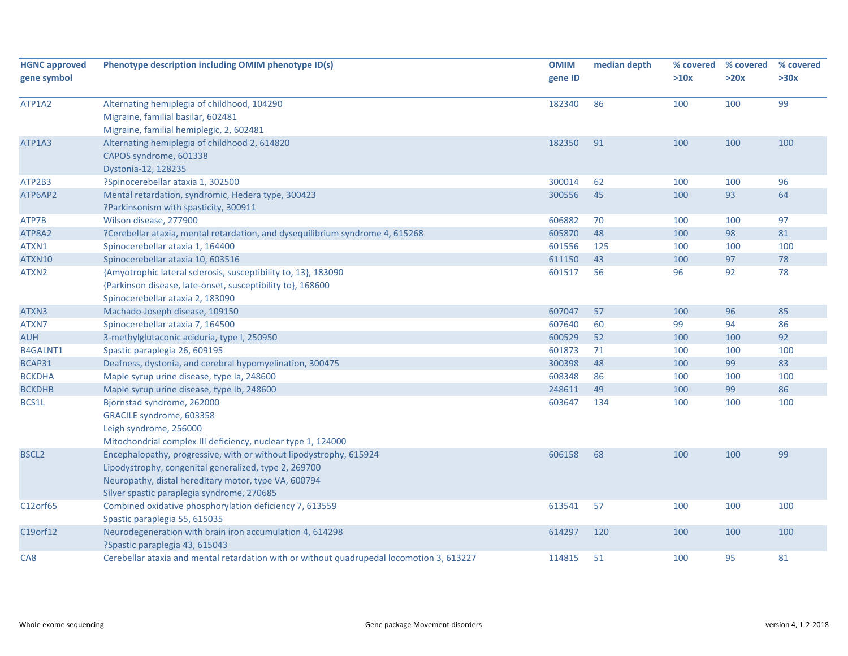| <b>HGNC approved</b><br>gene symbol | Phenotype description including OMIM phenotype ID(s)                                                                                                                                                                              | <b>OMIM</b><br>gene ID | median depth | % covered<br>>10x | % covered<br>>20x | % covered<br>>30x |
|-------------------------------------|-----------------------------------------------------------------------------------------------------------------------------------------------------------------------------------------------------------------------------------|------------------------|--------------|-------------------|-------------------|-------------------|
| ATP1A2                              | Alternating hemiplegia of childhood, 104290<br>Migraine, familial basilar, 602481<br>Migraine, familial hemiplegic, 2, 602481                                                                                                     | 182340                 | 86           | 100               | 100               | 99                |
| ATP1A3                              | Alternating hemiplegia of childhood 2, 614820<br>CAPOS syndrome, 601338<br>Dystonia-12, 128235                                                                                                                                    | 182350                 | 91           | 100               | 100               | 100               |
| ATP2B3                              | ?Spinocerebellar ataxia 1, 302500                                                                                                                                                                                                 | 300014                 | 62           | 100               | 100               | 96                |
| ATP6AP2                             | Mental retardation, syndromic, Hedera type, 300423<br>?Parkinsonism with spasticity, 300911                                                                                                                                       | 300556                 | 45           | 100               | 93                | 64                |
| ATP7B                               | Wilson disease, 277900                                                                                                                                                                                                            | 606882                 | 70           | 100               | 100               | 97                |
| ATP8A2                              | ?Cerebellar ataxia, mental retardation, and dysequilibrium syndrome 4, 615268                                                                                                                                                     | 605870                 | 48           | 100               | 98                | 81                |
| ATXN1                               | Spinocerebellar ataxia 1, 164400                                                                                                                                                                                                  | 601556                 | 125          | 100               | 100               | 100               |
| ATXN10                              | Spinocerebellar ataxia 10, 603516                                                                                                                                                                                                 | 611150                 | 43           | 100               | 97                | 78                |
| ATXN2                               | {Amyotrophic lateral sclerosis, susceptibility to, 13}, 183090<br>{Parkinson disease, late-onset, susceptibility to}, 168600<br>Spinocerebellar ataxia 2, 183090                                                                  | 601517                 | 56           | 96                | 92                | 78                |
| ATXN3                               | Machado-Joseph disease, 109150                                                                                                                                                                                                    | 607047                 | 57           | 100               | 96                | 85                |
| ATXN7                               | Spinocerebellar ataxia 7, 164500                                                                                                                                                                                                  | 607640                 | 60           | 99                | 94                | 86                |
| <b>AUH</b>                          | 3-methylglutaconic aciduria, type I, 250950                                                                                                                                                                                       | 600529                 | 52           | 100               | 100               | 92                |
| B4GALNT1                            | Spastic paraplegia 26, 609195                                                                                                                                                                                                     | 601873                 | 71           | 100               | 100               | 100               |
| BCAP31                              | Deafness, dystonia, and cerebral hypomyelination, 300475                                                                                                                                                                          | 300398                 | 48           | 100               | 99                | 83                |
| <b>BCKDHA</b>                       | Maple syrup urine disease, type Ia, 248600                                                                                                                                                                                        | 608348                 | 86           | 100               | 100               | 100               |
| <b>BCKDHB</b>                       | Maple syrup urine disease, type lb, 248600                                                                                                                                                                                        | 248611                 | 49           | 100               | 99                | 86                |
| BCS1L                               | Bjornstad syndrome, 262000<br>GRACILE syndrome, 603358<br>Leigh syndrome, 256000<br>Mitochondrial complex III deficiency, nuclear type 1, 124000                                                                                  | 603647                 | 134          | 100               | 100               | 100               |
| <b>BSCL2</b>                        | Encephalopathy, progressive, with or without lipodystrophy, 615924<br>Lipodystrophy, congenital generalized, type 2, 269700<br>Neuropathy, distal hereditary motor, type VA, 600794<br>Silver spastic paraplegia syndrome, 270685 | 606158                 | 68           | 100               | 100               | 99                |
| C12orf65                            | Combined oxidative phosphorylation deficiency 7, 613559<br>Spastic paraplegia 55, 615035                                                                                                                                          | 613541                 | 57           | 100               | 100               | 100               |
| C19orf12                            | Neurodegeneration with brain iron accumulation 4, 614298<br>?Spastic paraplegia 43, 615043                                                                                                                                        | 614297                 | 120          | 100               | 100               | 100               |
| CA8                                 | Cerebellar ataxia and mental retardation with or without quadrupedal locomotion 3, 613227                                                                                                                                         | 114815                 | 51           | 100               | 95                | 81                |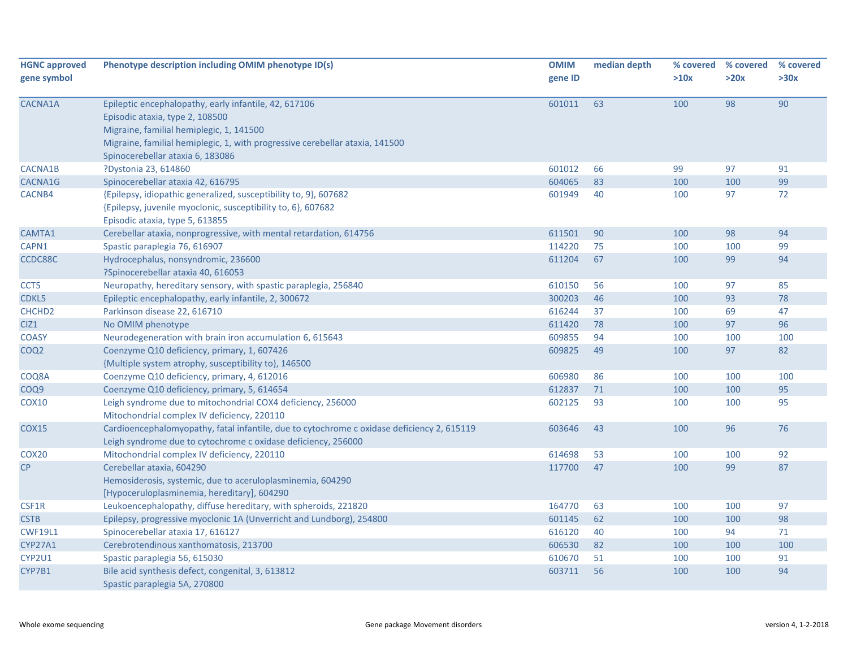| <b>HGNC approved</b><br>gene symbol | Phenotype description including OMIM phenotype ID(s)                                                                                                                                                                                                     | <b>OMIM</b><br>gene ID | median depth | % covered<br>>10x | % covered<br>>20x | % covered<br>>30x |
|-------------------------------------|----------------------------------------------------------------------------------------------------------------------------------------------------------------------------------------------------------------------------------------------------------|------------------------|--------------|-------------------|-------------------|-------------------|
| CACNA1A                             | Epileptic encephalopathy, early infantile, 42, 617106<br>Episodic ataxia, type 2, 108500<br>Migraine, familial hemiplegic, 1, 141500<br>Migraine, familial hemiplegic, 1, with progressive cerebellar ataxia, 141500<br>Spinocerebellar ataxia 6, 183086 | 601011                 | 63           | 100               | 98                | 90                |
| CACNA1B                             | ?Dystonia 23, 614860                                                                                                                                                                                                                                     | 601012                 | 66           | 99                | 97                | 91                |
| CACNA1G                             | Spinocerebellar ataxia 42, 616795                                                                                                                                                                                                                        | 604065                 | 83           | 100               | 100               | 99                |
| CACNB4                              | {Epilepsy, idiopathic generalized, susceptibility to, 9}, 607682<br>{Epilepsy, juvenile myoclonic, susceptibility to, 6}, 607682<br>Episodic ataxia, type 5, 613855                                                                                      | 601949                 | 40           | 100               | 97                | 72                |
| CAMTA1                              | Cerebellar ataxia, nonprogressive, with mental retardation, 614756                                                                                                                                                                                       | 611501                 | 90           | 100               | 98                | 94                |
| CAPN1                               | Spastic paraplegia 76, 616907                                                                                                                                                                                                                            | 114220                 | 75           | 100               | 100               | 99                |
| CCDC88C                             | Hydrocephalus, nonsyndromic, 236600<br>?Spinocerebellar ataxia 40, 616053                                                                                                                                                                                | 611204                 | 67           | 100               | 99                | 94                |
| CCT <sub>5</sub>                    | Neuropathy, hereditary sensory, with spastic paraplegia, 256840                                                                                                                                                                                          | 610150                 | 56           | 100               | 97                | 85                |
| CDKL5                               | Epileptic encephalopathy, early infantile, 2, 300672                                                                                                                                                                                                     | 300203                 | 46           | 100               | 93                | 78                |
| CHCHD <sub>2</sub>                  | Parkinson disease 22, 616710                                                                                                                                                                                                                             | 616244                 | 37           | 100               | 69                | 47                |
| CIZ <sub>1</sub>                    | No OMIM phenotype                                                                                                                                                                                                                                        | 611420                 | 78           | 100               | 97                | 96                |
| <b>COASY</b>                        | Neurodegeneration with brain iron accumulation 6, 615643                                                                                                                                                                                                 | 609855                 | 94           | 100               | 100               | 100               |
| COQ <sub>2</sub>                    | Coenzyme Q10 deficiency, primary, 1, 607426<br>{Multiple system atrophy, susceptibility to}, 146500                                                                                                                                                      | 609825                 | 49           | 100               | 97                | 82                |
| COQ8A                               | Coenzyme Q10 deficiency, primary, 4, 612016                                                                                                                                                                                                              | 606980                 | 86           | 100               | 100               | 100               |
| COQ9                                | Coenzyme Q10 deficiency, primary, 5, 614654                                                                                                                                                                                                              | 612837                 | 71           | 100               | 100               | 95                |
| <b>COX10</b>                        | Leigh syndrome due to mitochondrial COX4 deficiency, 256000<br>Mitochondrial complex IV deficiency, 220110                                                                                                                                               | 602125                 | 93           | 100               | 100               | 95                |
| <b>COX15</b>                        | Cardioencephalomyopathy, fatal infantile, due to cytochrome c oxidase deficiency 2, 615119<br>Leigh syndrome due to cytochrome c oxidase deficiency, 256000                                                                                              | 603646                 | 43           | 100               | 96                | 76                |
| COX <sub>20</sub>                   | Mitochondrial complex IV deficiency, 220110                                                                                                                                                                                                              | 614698                 | 53           | 100               | 100               | 92                |
| CP                                  | Cerebellar ataxia, 604290<br>Hemosiderosis, systemic, due to aceruloplasminemia, 604290<br>[Hypoceruloplasminemia, hereditary], 604290                                                                                                                   | 117700                 | 47           | 100               | 99                | 87                |
| CSF1R                               | Leukoencephalopathy, diffuse hereditary, with spheroids, 221820                                                                                                                                                                                          | 164770                 | 63           | 100               | 100               | 97                |
| <b>CSTB</b>                         | Epilepsy, progressive myoclonic 1A (Unverricht and Lundborg), 254800                                                                                                                                                                                     | 601145                 | 62           | 100               | 100               | 98                |
| <b>CWF19L1</b>                      | Spinocerebellar ataxia 17, 616127                                                                                                                                                                                                                        | 616120                 | 40           | 100               | 94                | 71                |
| <b>CYP27A1</b>                      | Cerebrotendinous xanthomatosis, 213700                                                                                                                                                                                                                   | 606530                 | 82           | 100               | 100               | 100               |
| CYP2U1                              | Spastic paraplegia 56, 615030                                                                                                                                                                                                                            | 610670                 | 51           | 100               | 100               | 91                |
| CYP7B1                              | Bile acid synthesis defect, congenital, 3, 613812<br>Spastic paraplegia 5A, 270800                                                                                                                                                                       | 603711                 | 56           | 100               | 100               | 94                |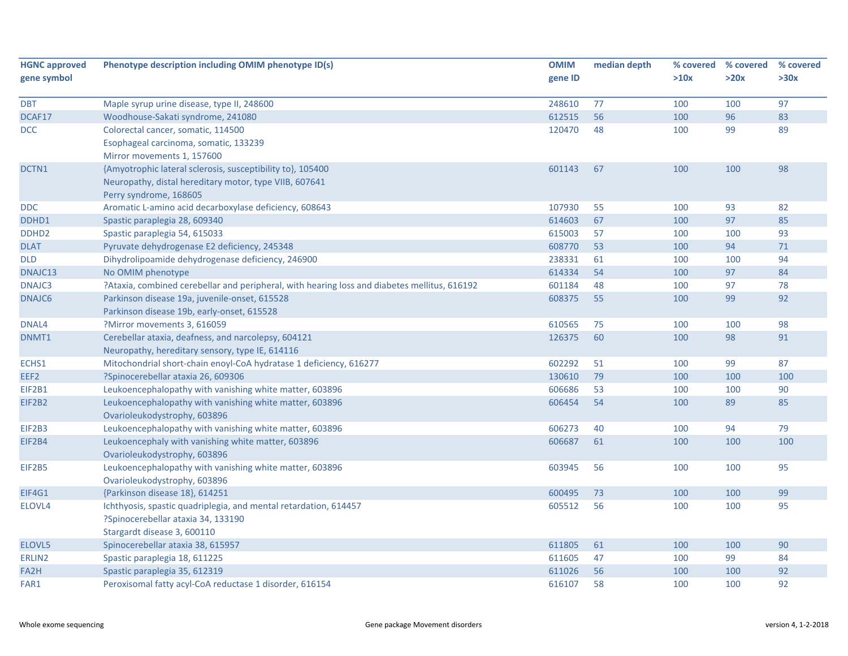| <b>HGNC approved</b> | Phenotype description including OMIM phenotype ID(s)                                         | <b>OMIM</b> | median depth | % covered | % covered | % covered |
|----------------------|----------------------------------------------------------------------------------------------|-------------|--------------|-----------|-----------|-----------|
| gene symbol          |                                                                                              | gene ID     |              | >10x      | >20x      | >30x      |
| <b>DBT</b>           | Maple syrup urine disease, type II, 248600                                                   | 248610      | 77           | 100       | 100       | 97        |
| DCAF17               | Woodhouse-Sakati syndrome, 241080                                                            | 612515      | 56           | 100       | 96        | 83        |
| <b>DCC</b>           | Colorectal cancer, somatic, 114500                                                           | 120470      | 48           | 100       | 99        | 89        |
|                      | Esophageal carcinoma, somatic, 133239                                                        |             |              |           |           |           |
|                      | Mirror movements 1, 157600                                                                   |             |              |           |           |           |
| DCTN1                | {Amyotrophic lateral sclerosis, susceptibility to}, 105400                                   | 601143      | 67           | 100       | 100       | 98        |
|                      | Neuropathy, distal hereditary motor, type VIIB, 607641                                       |             |              |           |           |           |
|                      | Perry syndrome, 168605                                                                       |             |              |           |           |           |
| <b>DDC</b>           | Aromatic L-amino acid decarboxylase deficiency, 608643                                       | 107930      | 55           | 100       | 93        | 82        |
| DDHD1                | Spastic paraplegia 28, 609340                                                                | 614603      | 67           | 100       | 97        | 85        |
| DDHD <sub>2</sub>    | Spastic paraplegia 54, 615033                                                                | 615003      | 57           | 100       | 100       | 93        |
| <b>DLAT</b>          | Pyruvate dehydrogenase E2 deficiency, 245348                                                 | 608770      | 53           | 100       | 94        | 71        |
| <b>DLD</b>           | Dihydrolipoamide dehydrogenase deficiency, 246900                                            | 238331      | 61           | 100       | 100       | 94        |
| DNAJC13              | No OMIM phenotype                                                                            | 614334      | 54           | 100       | 97        | 84        |
| DNAJC3               | ?Ataxia, combined cerebellar and peripheral, with hearing loss and diabetes mellitus, 616192 | 601184      | 48           | 100       | 97        | 78        |
| DNAJC6               | Parkinson disease 19a, juvenile-onset, 615528                                                | 608375      | 55           | 100       | 99        | 92        |
|                      | Parkinson disease 19b, early-onset, 615528                                                   |             |              |           |           |           |
| DNAL4                | ?Mirror movements 3, 616059                                                                  | 610565      | 75           | 100       | 100       | 98        |
| DNMT1                | Cerebellar ataxia, deafness, and narcolepsy, 604121                                          | 126375      | 60           | 100       | 98        | 91        |
|                      | Neuropathy, hereditary sensory, type IE, 614116                                              |             |              |           |           |           |
| ECHS1                | Mitochondrial short-chain enoyl-CoA hydratase 1 deficiency, 616277                           | 602292      | 51           | 100       | 99        | 87        |
| EEF <sub>2</sub>     | ?Spinocerebellar ataxia 26, 609306                                                           | 130610      | 79           | 100       | 100       | 100       |
| EIF2B1               | Leukoencephalopathy with vanishing white matter, 603896                                      | 606686      | 53           | 100       | 100       | 90        |
| EIF2B2               | Leukoencephalopathy with vanishing white matter, 603896                                      | 606454      | 54           | 100       | 89        | 85        |
|                      | Ovarioleukodystrophy, 603896                                                                 |             |              |           |           |           |
| <b>EIF2B3</b>        | Leukoencephalopathy with vanishing white matter, 603896                                      | 606273      | 40           | 100       | 94        | 79        |
| EIF2B4               | Leukoencephaly with vanishing white matter, 603896                                           | 606687      | 61           | 100       | 100       | 100       |
|                      | Ovarioleukodystrophy, 603896                                                                 |             |              |           |           |           |
| <b>EIF2B5</b>        | Leukoencephalopathy with vanishing white matter, 603896                                      | 603945      | 56           | 100       | 100       | 95        |
|                      | Ovarioleukodystrophy, 603896                                                                 |             |              |           |           |           |
| EIF4G1               | {Parkinson disease 18}, 614251                                                               | 600495      | 73           | 100       | 100       | 99        |
| ELOVL4               | Ichthyosis, spastic quadriplegia, and mental retardation, 614457                             | 605512      | 56           | 100       | 100       | 95        |
|                      | ?Spinocerebellar ataxia 34, 133190                                                           |             |              |           |           |           |
|                      | Stargardt disease 3, 600110                                                                  |             |              |           |           |           |
| ELOVL5               | Spinocerebellar ataxia 38, 615957                                                            | 611805      | 61           | 100       | 100       | 90        |
| ERLIN2               | Spastic paraplegia 18, 611225                                                                | 611605      | 47           | 100       | 99        | 84        |
| FA2H                 | Spastic paraplegia 35, 612319                                                                | 611026      | 56           | 100       | 100       | 92        |
| FAR1                 | Peroxisomal fatty acyl-CoA reductase 1 disorder, 616154                                      | 616107      | 58           | 100       | 100       | 92        |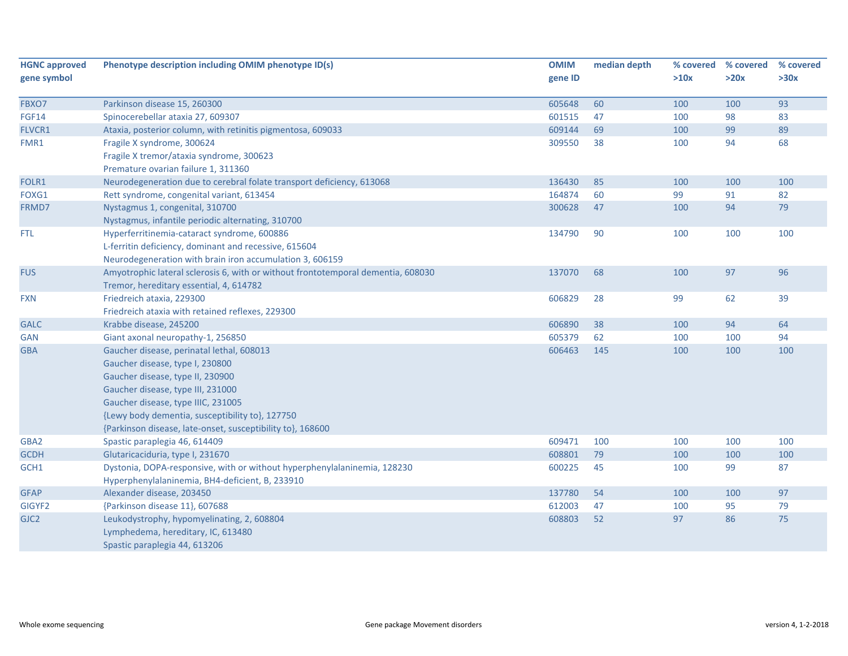| <b>HGNC approved</b> | Phenotype description including OMIM phenotype ID(s)                             | <b>OMIM</b> | median depth | % covered | % covered | % covered |
|----------------------|----------------------------------------------------------------------------------|-------------|--------------|-----------|-----------|-----------|
| gene symbol          |                                                                                  | gene ID     |              | >10x      | >20x      | >30x      |
| FBXO7                | Parkinson disease 15, 260300                                                     | 605648      | 60           | 100       | 100       | 93        |
| <b>FGF14</b>         | Spinocerebellar ataxia 27, 609307                                                | 601515      | 47           | 100       | 98        | 83        |
| FLVCR1               | Ataxia, posterior column, with retinitis pigmentosa, 609033                      | 609144      | 69           | 100       | 99        | 89        |
| FMR1                 | Fragile X syndrome, 300624                                                       | 309550      | 38           | 100       | 94        | 68        |
|                      | Fragile X tremor/ataxia syndrome, 300623                                         |             |              |           |           |           |
|                      | Premature ovarian failure 1, 311360                                              |             |              |           |           |           |
| FOLR1                | Neurodegeneration due to cerebral folate transport deficiency, 613068            | 136430      | 85           | 100       | 100       | 100       |
| FOXG1                | Rett syndrome, congenital variant, 613454                                        | 164874      | 60           | 99        | 91        | 82        |
| FRMD7                | Nystagmus 1, congenital, 310700                                                  | 300628      | 47           | 100       | 94        | 79        |
|                      | Nystagmus, infantile periodic alternating, 310700                                |             |              |           |           |           |
| <b>FTL</b>           | Hyperferritinemia-cataract syndrome, 600886                                      | 134790      | 90           | 100       | 100       | 100       |
|                      | L-ferritin deficiency, dominant and recessive, 615604                            |             |              |           |           |           |
|                      | Neurodegeneration with brain iron accumulation 3, 606159                         |             |              |           |           |           |
| <b>FUS</b>           | Amyotrophic lateral sclerosis 6, with or without frontotemporal dementia, 608030 | 137070      | 68           | 100       | 97        | 96        |
|                      | Tremor, hereditary essential, 4, 614782                                          |             |              |           |           |           |
| <b>FXN</b>           | Friedreich ataxia, 229300                                                        | 606829      | 28           | 99        | 62        | 39        |
|                      | Friedreich ataxia with retained reflexes, 229300                                 |             |              |           |           |           |
| <b>GALC</b>          | Krabbe disease, 245200                                                           | 606890      | 38           | 100       | 94        | 64        |
| <b>GAN</b>           | Giant axonal neuropathy-1, 256850                                                | 605379      | 62           | 100       | 100       | 94        |
| <b>GBA</b>           | Gaucher disease, perinatal lethal, 608013                                        | 606463      | 145          | 100       | 100       | 100       |
|                      | Gaucher disease, type I, 230800                                                  |             |              |           |           |           |
|                      | Gaucher disease, type II, 230900                                                 |             |              |           |           |           |
|                      | Gaucher disease, type III, 231000                                                |             |              |           |           |           |
|                      | Gaucher disease, type IIIC, 231005                                               |             |              |           |           |           |
|                      | {Lewy body dementia, susceptibility to}, 127750                                  |             |              |           |           |           |
|                      | {Parkinson disease, late-onset, susceptibility to}, 168600                       |             |              |           |           |           |
| GBA2                 | Spastic paraplegia 46, 614409                                                    | 609471      | 100          | 100       | 100       | 100       |
| <b>GCDH</b>          | Glutaricaciduria, type I, 231670                                                 | 608801      | 79           | 100       | 100       | 100       |
| GCH1                 | Dystonia, DOPA-responsive, with or without hyperphenylalaninemia, 128230         | 600225      | 45           | 100       | 99        | 87        |
|                      | Hyperphenylalaninemia, BH4-deficient, B, 233910                                  |             |              |           |           |           |
| <b>GFAP</b>          | Alexander disease, 203450                                                        | 137780      | 54           | 100       | 100       | 97        |
| GIGYF2               | {Parkinson disease 11}, 607688                                                   | 612003      | 47           | 100       | 95        | 79        |
| GJC <sub>2</sub>     | Leukodystrophy, hypomyelinating, 2, 608804                                       | 608803      | 52           | 97        | 86        | 75        |
|                      | Lymphedema, hereditary, IC, 613480                                               |             |              |           |           |           |
|                      | Spastic paraplegia 44, 613206                                                    |             |              |           |           |           |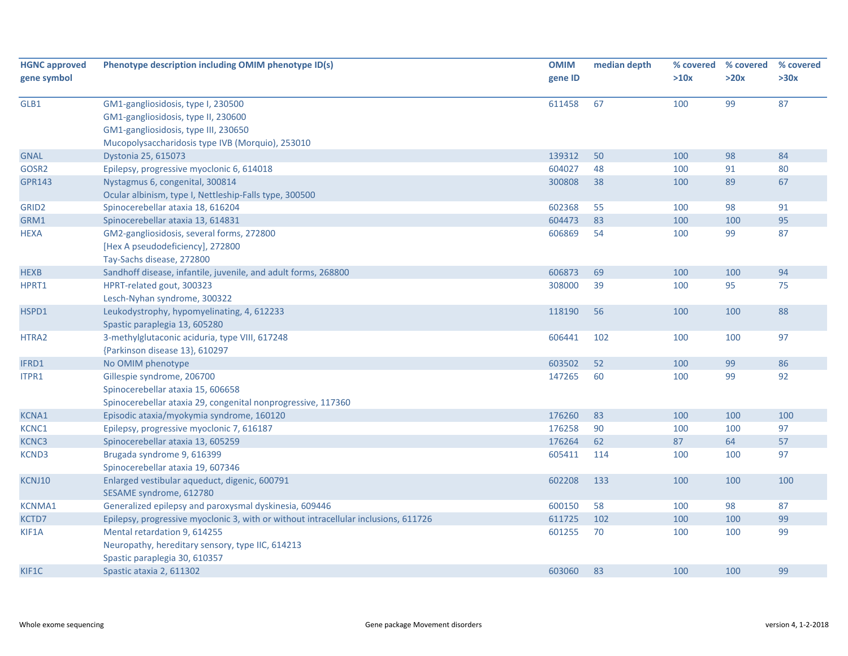| <b>HGNC approved</b> | Phenotype description including OMIM phenotype ID(s)                                | <b>OMIM</b> | median depth | % covered | % covered | % covered |
|----------------------|-------------------------------------------------------------------------------------|-------------|--------------|-----------|-----------|-----------|
| gene symbol          |                                                                                     | gene ID     |              | >10x      | >20x      | >30x      |
| GLB1                 | GM1-gangliosidosis, type I, 230500                                                  | 611458      | 67           | 100       | 99        | 87        |
|                      | GM1-gangliosidosis, type II, 230600                                                 |             |              |           |           |           |
|                      | GM1-gangliosidosis, type III, 230650                                                |             |              |           |           |           |
|                      | Mucopolysaccharidosis type IVB (Morquio), 253010                                    |             |              |           |           |           |
| <b>GNAL</b>          | Dystonia 25, 615073                                                                 | 139312      | 50           | 100       | 98        | 84        |
| GOSR2                | Epilepsy, progressive myoclonic 6, 614018                                           | 604027      | 48           | 100       | 91        | 80        |
| <b>GPR143</b>        | Nystagmus 6, congenital, 300814                                                     | 300808      | 38           | 100       | 89        | 67        |
|                      | Ocular albinism, type I, Nettleship-Falls type, 300500                              |             |              |           |           |           |
| GRID <sub>2</sub>    | Spinocerebellar ataxia 18, 616204                                                   | 602368      | 55           | 100       | 98        | 91        |
| GRM1                 | Spinocerebellar ataxia 13, 614831                                                   | 604473      | 83           | 100       | 100       | 95        |
| <b>HEXA</b>          | GM2-gangliosidosis, several forms, 272800                                           | 606869      | 54           | 100       | 99        | 87        |
|                      | [Hex A pseudodeficiency], 272800                                                    |             |              |           |           |           |
|                      | Tay-Sachs disease, 272800                                                           |             |              |           |           |           |
| <b>HEXB</b>          | Sandhoff disease, infantile, juvenile, and adult forms, 268800                      | 606873      | 69           | 100       | 100       | 94        |
| HPRT1                | HPRT-related gout, 300323                                                           | 308000      | 39           | 100       | 95        | 75        |
|                      | Lesch-Nyhan syndrome, 300322                                                        |             |              |           |           |           |
| HSPD1                | Leukodystrophy, hypomyelinating, 4, 612233                                          | 118190      | 56           | 100       | 100       | 88        |
|                      | Spastic paraplegia 13, 605280                                                       |             |              |           |           |           |
| HTRA2                | 3-methylglutaconic aciduria, type VIII, 617248                                      | 606441      | 102          | 100       | 100       | 97        |
|                      | {Parkinson disease 13}, 610297                                                      |             |              |           |           |           |
| IFRD1                | No OMIM phenotype                                                                   | 603502      | 52           | 100       | 99        | 86        |
| ITPR1                | Gillespie syndrome, 206700                                                          | 147265      | 60           | 100       | 99        | 92        |
|                      | Spinocerebellar ataxia 15, 606658                                                   |             |              |           |           |           |
|                      | Spinocerebellar ataxia 29, congenital nonprogressive, 117360                        |             |              |           |           |           |
| <b>KCNA1</b>         | Episodic ataxia/myokymia syndrome, 160120                                           | 176260      | 83           | 100       | 100       | 100       |
| KCNC1                | Epilepsy, progressive myoclonic 7, 616187                                           | 176258      | 90           | 100       | 100       | 97        |
| <b>KCNC3</b>         | Spinocerebellar ataxia 13, 605259                                                   | 176264      | 62           | 87        | 64        | 57        |
| <b>KCND3</b>         | Brugada syndrome 9, 616399                                                          | 605411      | 114          | 100       | 100       | 97        |
|                      | Spinocerebellar ataxia 19, 607346                                                   |             |              |           |           |           |
| KCNJ10               | Enlarged vestibular aqueduct, digenic, 600791                                       | 602208      | 133          | 100       | 100       | 100       |
|                      | SESAME syndrome, 612780                                                             |             |              |           |           |           |
| <b>KCNMA1</b>        | Generalized epilepsy and paroxysmal dyskinesia, 609446                              | 600150      | 58           | 100       | 98        | 87        |
| KCTD7                | Epilepsy, progressive myoclonic 3, with or without intracellular inclusions, 611726 | 611725      | 102          | 100       | 100       | 99        |
| KIF1A                | Mental retardation 9, 614255                                                        | 601255      | 70           | 100       | 100       | 99        |
|                      | Neuropathy, hereditary sensory, type IIC, 614213                                    |             |              |           |           |           |
|                      | Spastic paraplegia 30, 610357                                                       |             |              |           |           |           |
| KIF1C                | Spastic ataxia 2, 611302                                                            | 603060      | 83           | 100       | 100       | 99        |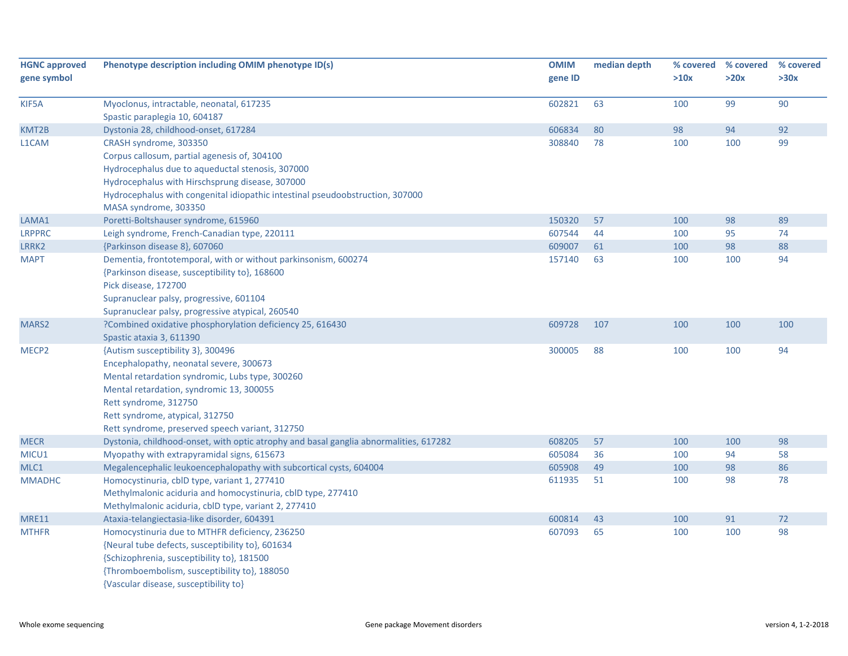| <b>HGNC approved</b><br>gene symbol | Phenotype description including OMIM phenotype ID(s)                                                                                                                                                                                                                                       | <b>OMIM</b><br>gene ID | median depth | % covered<br>>10x | % covered<br>>20x | % covered<br>>30x |
|-------------------------------------|--------------------------------------------------------------------------------------------------------------------------------------------------------------------------------------------------------------------------------------------------------------------------------------------|------------------------|--------------|-------------------|-------------------|-------------------|
| KIF5A                               | Myoclonus, intractable, neonatal, 617235<br>Spastic paraplegia 10, 604187                                                                                                                                                                                                                  | 602821                 | 63           | 100               | 99                | 90                |
| KMT2B                               | Dystonia 28, childhood-onset, 617284                                                                                                                                                                                                                                                       | 606834                 | 80           | 98                | 94                | 92                |
| L1CAM                               | CRASH syndrome, 303350<br>Corpus callosum, partial agenesis of, 304100<br>Hydrocephalus due to aqueductal stenosis, 307000<br>Hydrocephalus with Hirschsprung disease, 307000<br>Hydrocephalus with congenital idiopathic intestinal pseudoobstruction, 307000<br>MASA syndrome, 303350    | 308840                 | 78           | 100               | 100               | 99                |
| LAMA1                               | Poretti-Boltshauser syndrome, 615960                                                                                                                                                                                                                                                       | 150320                 | 57           | 100               | 98                | 89                |
| <b>LRPPRC</b>                       | Leigh syndrome, French-Canadian type, 220111                                                                                                                                                                                                                                               | 607544                 | 44           | 100               | 95                | 74                |
| LRRK2                               | {Parkinson disease 8}, 607060                                                                                                                                                                                                                                                              | 609007                 | 61           | 100               | 98                | 88                |
| <b>MAPT</b>                         | Dementia, frontotemporal, with or without parkinsonism, 600274<br>{Parkinson disease, susceptibility to}, 168600<br>Pick disease, 172700<br>Supranuclear palsy, progressive, 601104<br>Supranuclear palsy, progressive atypical, 260540                                                    | 157140                 | 63           | 100               | 100               | 94                |
| MARS2                               | ?Combined oxidative phosphorylation deficiency 25, 616430<br>Spastic ataxia 3, 611390                                                                                                                                                                                                      | 609728                 | 107          | 100               | 100               | 100               |
| MECP <sub>2</sub>                   | {Autism susceptibility 3}, 300496<br>Encephalopathy, neonatal severe, 300673<br>Mental retardation syndromic, Lubs type, 300260<br>Mental retardation, syndromic 13, 300055<br>Rett syndrome, 312750<br>Rett syndrome, atypical, 312750<br>Rett syndrome, preserved speech variant, 312750 | 300005                 | 88           | 100               | 100               | 94                |
| <b>MECR</b>                         | Dystonia, childhood-onset, with optic atrophy and basal ganglia abnormalities, 617282                                                                                                                                                                                                      | 608205                 | 57           | 100               | 100               | 98                |
| MICU1                               | Myopathy with extrapyramidal signs, 615673                                                                                                                                                                                                                                                 | 605084                 | 36           | 100               | 94                | 58                |
| MLC1                                | Megalencephalic leukoencephalopathy with subcortical cysts, 604004                                                                                                                                                                                                                         | 605908                 | 49           | 100               | 98                | 86                |
| <b>MMADHC</b>                       | Homocystinuria, cblD type, variant 1, 277410<br>Methylmalonic aciduria and homocystinuria, cblD type, 277410<br>Methylmalonic aciduria, cblD type, variant 2, 277410                                                                                                                       | 611935                 | 51           | 100               | 98                | 78                |
| <b>MRE11</b>                        | Ataxia-telangiectasia-like disorder, 604391                                                                                                                                                                                                                                                | 600814                 | 43           | 100               | 91                | 72                |
| <b>MTHFR</b>                        | Homocystinuria due to MTHFR deficiency, 236250<br>{Neural tube defects, susceptibility to}, 601634<br>{Schizophrenia, susceptibility to}, 181500<br>{Thromboembolism, susceptibility to}, 188050<br>{Vascular disease, susceptibility to}                                                  | 607093                 | 65           | 100               | 100               | 98                |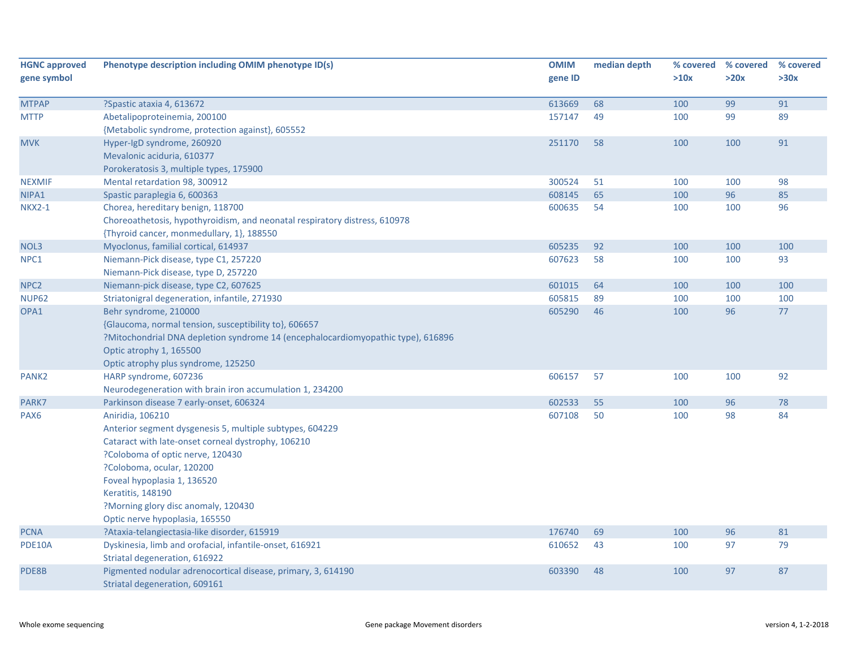| <b>HGNC approved</b><br>gene symbol | Phenotype description including OMIM phenotype ID(s)                             | <b>OMIM</b><br>gene ID | median depth | >10x | % covered % covered<br>>20x | % covered<br>>30x |
|-------------------------------------|----------------------------------------------------------------------------------|------------------------|--------------|------|-----------------------------|-------------------|
|                                     |                                                                                  |                        |              |      |                             |                   |
| <b>MTPAP</b>                        | ?Spastic ataxia 4, 613672                                                        | 613669                 | 68           | 100  | 99                          | 91                |
| <b>MTTP</b>                         | Abetalipoproteinemia, 200100                                                     | 157147                 | 49           | 100  | 99                          | 89                |
|                                     | {Metabolic syndrome, protection against}, 605552                                 |                        |              |      |                             |                   |
| <b>MVK</b>                          | Hyper-IgD syndrome, 260920                                                       | 251170                 | 58           | 100  | 100                         | 91                |
|                                     | Mevalonic aciduria, 610377                                                       |                        |              |      |                             |                   |
|                                     | Porokeratosis 3, multiple types, 175900                                          |                        |              |      |                             |                   |
| <b>NEXMIF</b>                       | Mental retardation 98, 300912                                                    | 300524                 | 51           | 100  | 100                         | 98                |
| NIPA1                               | Spastic paraplegia 6, 600363                                                     | 608145                 | 65           | 100  | 96                          | 85                |
| <b>NKX2-1</b>                       | Chorea, hereditary benign, 118700                                                | 600635                 | 54           | 100  | 100                         | 96                |
|                                     | Choreoathetosis, hypothyroidism, and neonatal respiratory distress, 610978       |                        |              |      |                             |                   |
|                                     | {Thyroid cancer, monmedullary, 1}, 188550                                        |                        |              |      |                             |                   |
| NOL3                                | Myoclonus, familial cortical, 614937                                             | 605235                 | 92           | 100  | 100                         | 100               |
| NPC1                                | Niemann-Pick disease, type C1, 257220                                            | 607623                 | 58           | 100  | 100                         | 93                |
|                                     | Niemann-Pick disease, type D, 257220                                             |                        |              |      |                             |                   |
| NPC <sub>2</sub>                    | Niemann-pick disease, type C2, 607625                                            | 601015                 | 64           | 100  | 100                         | 100               |
| <b>NUP62</b>                        | Striatonigral degeneration, infantile, 271930                                    | 605815                 | 89           | 100  | 100                         | 100               |
| OPA1                                | Behr syndrome, 210000                                                            | 605290                 | 46           | 100  | 96                          | $77$              |
|                                     | {Glaucoma, normal tension, susceptibility to}, 606657                            |                        |              |      |                             |                   |
|                                     | ?Mitochondrial DNA depletion syndrome 14 (encephalocardiomyopathic type), 616896 |                        |              |      |                             |                   |
|                                     | Optic atrophy 1, 165500                                                          |                        |              |      |                             |                   |
|                                     | Optic atrophy plus syndrome, 125250                                              |                        |              |      |                             |                   |
| PANK <sub>2</sub>                   | HARP syndrome, 607236                                                            | 606157                 | 57           | 100  | 100                         | 92                |
|                                     | Neurodegeneration with brain iron accumulation 1, 234200                         |                        |              |      |                             |                   |
| PARK7                               | Parkinson disease 7 early-onset, 606324                                          | 602533                 | 55           | 100  | 96                          | 78                |
| PAX <sub>6</sub>                    | Aniridia, 106210                                                                 | 607108                 | 50           | 100  | 98                          | 84                |
|                                     | Anterior segment dysgenesis 5, multiple subtypes, 604229                         |                        |              |      |                             |                   |
|                                     | Cataract with late-onset corneal dystrophy, 106210                               |                        |              |      |                             |                   |
|                                     | ?Coloboma of optic nerve, 120430<br>?Coloboma, ocular, 120200                    |                        |              |      |                             |                   |
|                                     | Foveal hypoplasia 1, 136520                                                      |                        |              |      |                             |                   |
|                                     | <b>Keratitis, 148190</b>                                                         |                        |              |      |                             |                   |
|                                     | ?Morning glory disc anomaly, 120430                                              |                        |              |      |                             |                   |
|                                     | Optic nerve hypoplasia, 165550                                                   |                        |              |      |                             |                   |
| <b>PCNA</b>                         | ?Ataxia-telangiectasia-like disorder, 615919                                     | 176740                 | 69           | 100  | 96                          | 81                |
| PDE10A                              | Dyskinesia, limb and orofacial, infantile-onset, 616921                          | 610652                 | 43           | 100  | 97                          | 79                |
|                                     | Striatal degeneration, 616922                                                    |                        |              |      |                             |                   |
| PDE8B                               | Pigmented nodular adrenocortical disease, primary, 3, 614190                     | 603390                 | 48           | 100  | 97                          | 87                |
|                                     | Striatal degeneration, 609161                                                    |                        |              |      |                             |                   |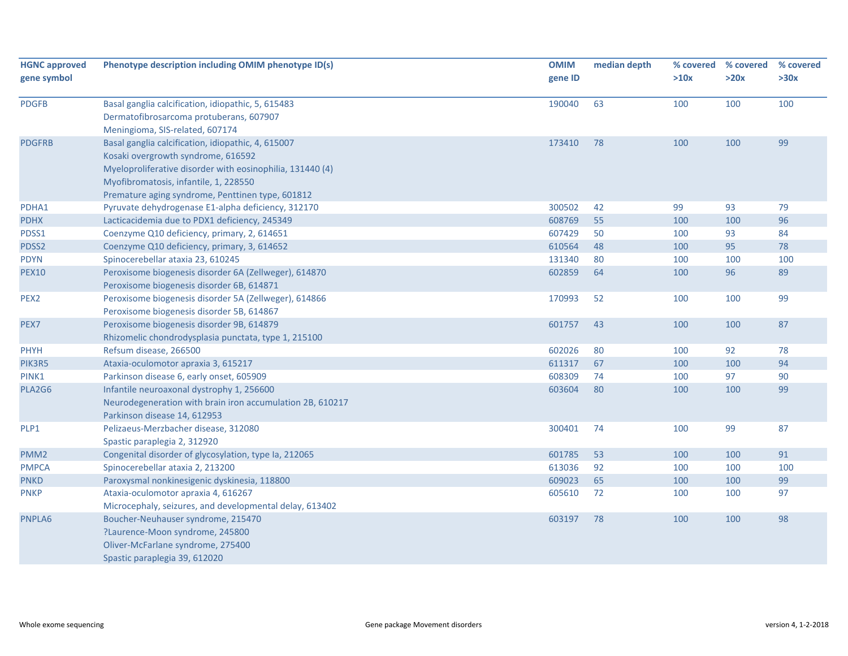| <b>HGNC approved</b><br>gene symbol | Phenotype description including OMIM phenotype ID(s)                                                                                                                                                                                               | <b>OMIM</b><br>gene ID | median depth | % covered<br>>10x | % covered<br>>20x | % covered<br>>30x |
|-------------------------------------|----------------------------------------------------------------------------------------------------------------------------------------------------------------------------------------------------------------------------------------------------|------------------------|--------------|-------------------|-------------------|-------------------|
| <b>PDGFB</b>                        | Basal ganglia calcification, idiopathic, 5, 615483<br>Dermatofibrosarcoma protuberans, 607907<br>Meningioma, SIS-related, 607174                                                                                                                   | 190040                 | 63           | 100               | 100               | 100               |
| <b>PDGFRB</b>                       | Basal ganglia calcification, idiopathic, 4, 615007<br>Kosaki overgrowth syndrome, 616592<br>Myeloproliferative disorder with eosinophilia, 131440 (4)<br>Myofibromatosis, infantile, 1, 228550<br>Premature aging syndrome, Penttinen type, 601812 | 173410                 | 78           | 100               | 100               | 99                |
| PDHA1                               | Pyruvate dehydrogenase E1-alpha deficiency, 312170                                                                                                                                                                                                 | 300502                 | 42           | 99                | 93                | 79                |
| <b>PDHX</b>                         | Lacticacidemia due to PDX1 deficiency, 245349                                                                                                                                                                                                      | 608769                 | 55           | 100               | 100               | 96                |
| PDSS1                               | Coenzyme Q10 deficiency, primary, 2, 614651                                                                                                                                                                                                        | 607429                 | 50           | 100               | 93                | 84                |
| PDSS2                               | Coenzyme Q10 deficiency, primary, 3, 614652                                                                                                                                                                                                        | 610564                 | 48           | 100               | 95                | 78                |
| <b>PDYN</b>                         | Spinocerebellar ataxia 23, 610245                                                                                                                                                                                                                  | 131340                 | 80           | 100               | 100               | 100               |
| <b>PEX10</b>                        | Peroxisome biogenesis disorder 6A (Zellweger), 614870<br>Peroxisome biogenesis disorder 6B, 614871                                                                                                                                                 | 602859                 | 64           | 100               | 96                | 89                |
| PEX2                                | Peroxisome biogenesis disorder 5A (Zellweger), 614866<br>Peroxisome biogenesis disorder 5B, 614867                                                                                                                                                 | 170993                 | 52           | 100               | 100               | 99                |
| PEX7                                | Peroxisome biogenesis disorder 9B, 614879<br>Rhizomelic chondrodysplasia punctata, type 1, 215100                                                                                                                                                  | 601757                 | 43           | 100               | 100               | 87                |
| <b>PHYH</b>                         | Refsum disease, 266500                                                                                                                                                                                                                             | 602026                 | 80           | 100               | 92                | 78                |
| PIK3R5                              | Ataxia-oculomotor apraxia 3, 615217                                                                                                                                                                                                                | 611317                 | 67           | 100               | 100               | 94                |
| PINK1                               | Parkinson disease 6, early onset, 605909                                                                                                                                                                                                           | 608309                 | 74           | 100               | 97                | 90                |
| PLA2G6                              | Infantile neuroaxonal dystrophy 1, 256600<br>Neurodegeneration with brain iron accumulation 2B, 610217<br>Parkinson disease 14, 612953                                                                                                             | 603604                 | 80           | 100               | 100               | 99                |
| PLP1                                | Pelizaeus-Merzbacher disease, 312080<br>Spastic paraplegia 2, 312920                                                                                                                                                                               | 300401                 | 74           | 100               | 99                | 87                |
| PMM <sub>2</sub>                    | Congenital disorder of glycosylation, type Ia, 212065                                                                                                                                                                                              | 601785                 | 53           | 100               | 100               | 91                |
| <b>PMPCA</b>                        | Spinocerebellar ataxia 2, 213200                                                                                                                                                                                                                   | 613036                 | 92           | 100               | 100               | 100               |
| <b>PNKD</b>                         | Paroxysmal nonkinesigenic dyskinesia, 118800                                                                                                                                                                                                       | 609023                 | 65           | 100               | 100               | 99                |
| <b>PNKP</b>                         | Ataxia-oculomotor apraxia 4, 616267<br>Microcephaly, seizures, and developmental delay, 613402                                                                                                                                                     | 605610                 | 72           | 100               | 100               | 97                |
| PNPLA6                              | Boucher-Neuhauser syndrome, 215470<br>?Laurence-Moon syndrome, 245800<br>Oliver-McFarlane syndrome, 275400<br>Spastic paraplegia 39, 612020                                                                                                        | 603197                 | 78           | 100               | 100               | 98                |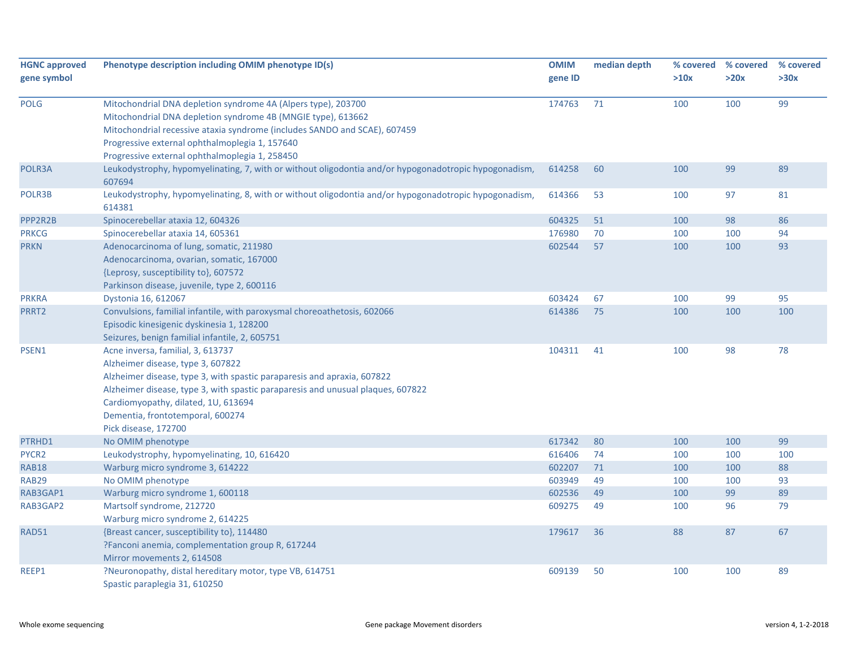| <b>HGNC approved</b><br>gene symbol | Phenotype description including OMIM phenotype ID(s)                                                                                                                                                                                                                                                                                    | <b>OMIM</b><br>gene ID | median depth | >10x | % covered % covered<br>>20x | % covered<br>>30x |
|-------------------------------------|-----------------------------------------------------------------------------------------------------------------------------------------------------------------------------------------------------------------------------------------------------------------------------------------------------------------------------------------|------------------------|--------------|------|-----------------------------|-------------------|
| <b>POLG</b>                         | Mitochondrial DNA depletion syndrome 4A (Alpers type), 203700<br>Mitochondrial DNA depletion syndrome 4B (MNGIE type), 613662<br>Mitochondrial recessive ataxia syndrome (includes SANDO and SCAE), 607459<br>Progressive external ophthalmoplegia 1, 157640<br>Progressive external ophthalmoplegia 1, 258450                          | 174763                 | 71           | 100  | 100                         | 99                |
| POLR3A                              | Leukodystrophy, hypomyelinating, 7, with or without oligodontia and/or hypogonadotropic hypogonadism,<br>607694                                                                                                                                                                                                                         | 614258                 | 60           | 100  | 99                          | 89                |
| POLR3B                              | Leukodystrophy, hypomyelinating, 8, with or without oligodontia and/or hypogonadotropic hypogonadism,<br>614381                                                                                                                                                                                                                         | 614366                 | 53           | 100  | 97                          | 81                |
| PPP2R2B                             | Spinocerebellar ataxia 12, 604326                                                                                                                                                                                                                                                                                                       | 604325                 | 51           | 100  | 98                          | 86                |
| <b>PRKCG</b>                        | Spinocerebellar ataxia 14, 605361                                                                                                                                                                                                                                                                                                       | 176980                 | 70           | 100  | 100                         | 94                |
| <b>PRKN</b>                         | Adenocarcinoma of lung, somatic, 211980<br>Adenocarcinoma, ovarian, somatic, 167000<br>{Leprosy, susceptibility to}, 607572<br>Parkinson disease, juvenile, type 2, 600116                                                                                                                                                              | 602544                 | 57           | 100  | 100                         | 93                |
| <b>PRKRA</b>                        | Dystonia 16, 612067                                                                                                                                                                                                                                                                                                                     | 603424                 | 67           | 100  | 99                          | 95                |
| PRRT2                               | Convulsions, familial infantile, with paroxysmal choreoathetosis, 602066<br>Episodic kinesigenic dyskinesia 1, 128200<br>Seizures, benign familial infantile, 2, 605751                                                                                                                                                                 | 614386                 | 75           | 100  | 100                         | 100               |
| PSEN1                               | Acne inversa, familial, 3, 613737<br>Alzheimer disease, type 3, 607822<br>Alzheimer disease, type 3, with spastic paraparesis and apraxia, 607822<br>Alzheimer disease, type 3, with spastic paraparesis and unusual plaques, 607822<br>Cardiomyopathy, dilated, 1U, 613694<br>Dementia, frontotemporal, 600274<br>Pick disease, 172700 | 104311                 | 41           | 100  | 98                          | 78                |
| PTRHD1                              | No OMIM phenotype                                                                                                                                                                                                                                                                                                                       | 617342                 | 80           | 100  | 100                         | 99                |
| PYCR2                               | Leukodystrophy, hypomyelinating, 10, 616420                                                                                                                                                                                                                                                                                             | 616406                 | 74           | 100  | 100                         | 100               |
| <b>RAB18</b>                        | Warburg micro syndrome 3, 614222                                                                                                                                                                                                                                                                                                        | 602207                 | 71           | 100  | 100                         | 88                |
| <b>RAB29</b>                        | No OMIM phenotype                                                                                                                                                                                                                                                                                                                       | 603949                 | 49           | 100  | 100                         | 93                |
| RAB3GAP1                            | Warburg micro syndrome 1, 600118                                                                                                                                                                                                                                                                                                        | 602536                 | 49           | 100  | 99                          | 89                |
| RAB3GAP2                            | Martsolf syndrome, 212720<br>Warburg micro syndrome 2, 614225                                                                                                                                                                                                                                                                           | 609275                 | 49           | 100  | 96                          | 79                |
| RAD51                               | {Breast cancer, susceptibility to}, 114480<br>?Fanconi anemia, complementation group R, 617244<br>Mirror movements 2, 614508                                                                                                                                                                                                            | 179617                 | 36           | 88   | 87                          | 67                |
| REEP1                               | ?Neuronopathy, distal hereditary motor, type VB, 614751<br>Spastic paraplegia 31, 610250                                                                                                                                                                                                                                                | 609139                 | 50           | 100  | 100                         | 89                |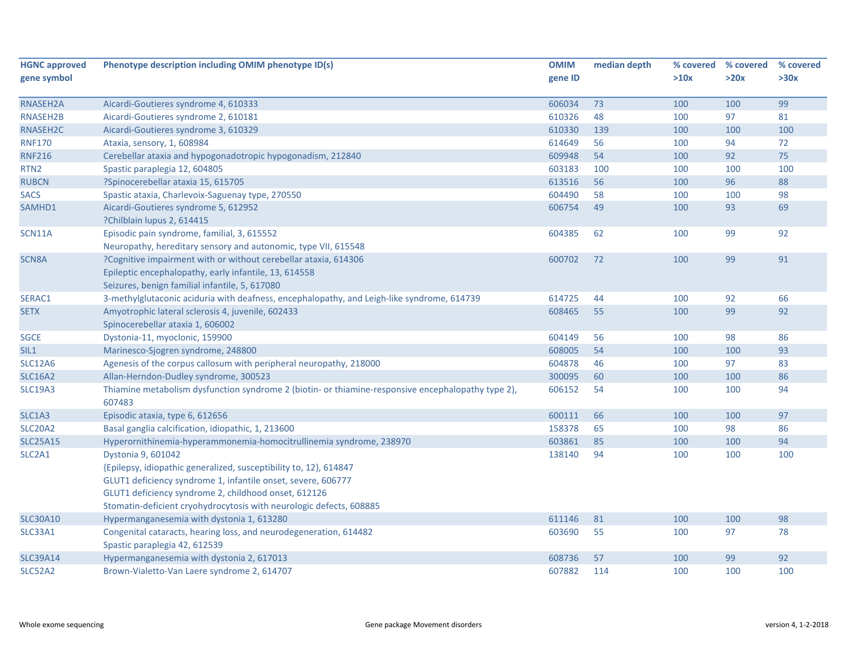| <b>HGNC approved</b>            | Phenotype description including OMIM phenotype ID(s)                                                                                                                       | <b>OMIM</b> | median depth | % covered | % covered | % covered |
|---------------------------------|----------------------------------------------------------------------------------------------------------------------------------------------------------------------------|-------------|--------------|-----------|-----------|-----------|
| gene symbol                     |                                                                                                                                                                            | gene ID     |              | >10x      | >20x      | >30x      |
|                                 |                                                                                                                                                                            |             |              |           |           |           |
| RNASEH2A                        | Aicardi-Goutieres syndrome 4, 610333                                                                                                                                       | 606034      | 73           | 100       | 100       | 99        |
| RNASEH2B                        | Aicardi-Goutieres syndrome 2, 610181                                                                                                                                       | 610326      | 48           | 100       | 97        | 81        |
| RNASEH2C                        | Aicardi-Goutieres syndrome 3, 610329                                                                                                                                       | 610330      | 139          | 100       | 100       | 100       |
| <b>RNF170</b>                   | Ataxia, sensory, 1, 608984                                                                                                                                                 | 614649      | 56           | 100       | 94        | 72        |
| <b>RNF216</b>                   | Cerebellar ataxia and hypogonadotropic hypogonadism, 212840                                                                                                                | 609948      | 54           | 100       | 92        | 75        |
| RTN <sub>2</sub>                | Spastic paraplegia 12, 604805                                                                                                                                              | 603183      | 100          | 100       | 100       | 100       |
| <b>RUBCN</b>                    | ?Spinocerebellar ataxia 15, 615705                                                                                                                                         | 613516      | 56           | 100       | 96        | 88        |
| <b>SACS</b>                     | Spastic ataxia, Charlevoix-Saguenay type, 270550                                                                                                                           | 604490      | 58           | 100       | 100       | 98        |
| SAMHD1                          | Aicardi-Goutieres syndrome 5, 612952<br>?Chilblain lupus 2, 614415                                                                                                         | 606754      | 49           | 100       | 93        | 69        |
| SCN11A                          | Episodic pain syndrome, familial, 3, 615552<br>Neuropathy, hereditary sensory and autonomic, type VII, 615548                                                              | 604385      | 62           | 100       | 99        | 92        |
| SCN8A                           | ?Cognitive impairment with or without cerebellar ataxia, 614306<br>Epileptic encephalopathy, early infantile, 13, 614558<br>Seizures, benign familial infantile, 5, 617080 | 600702      | 72           | 100       | 99        | 91        |
| SERAC1                          | 3-methylglutaconic aciduria with deafness, encephalopathy, and Leigh-like syndrome, 614739                                                                                 | 614725      | 44           | 100       | 92        | 66        |
| <b>SETX</b>                     | Amyotrophic lateral sclerosis 4, juvenile, 602433<br>Spinocerebellar ataxia 1, 606002                                                                                      | 608465      | 55           | 100       | 99        | 92        |
| SGCE                            | Dystonia-11, myoclonic, 159900                                                                                                                                             | 604149      | 56           | 100       | 98        | 86        |
| SIL <sub>1</sub>                | Marinesco-Sjogren syndrome, 248800                                                                                                                                         | 608005      | 54           | 100       | 100       | 93        |
| <b>SLC12A6</b>                  | Agenesis of the corpus callosum with peripheral neuropathy, 218000                                                                                                         | 604878      | 46           | 100       | 97        | 83        |
| <b>SLC16A2</b>                  | Allan-Herndon-Dudley syndrome, 300523                                                                                                                                      | 300095      | 60           | 100       | 100       | 86        |
| <b>SLC19A3</b>                  | Thiamine metabolism dysfunction syndrome 2 (biotin- or thiamine-responsive encephalopathy type 2),<br>607483                                                               | 606152      | 54           | 100       | 100       | 94        |
| SLC1A3                          | Episodic ataxia, type 6, 612656                                                                                                                                            | 600111      | 66           | 100       | 100       | 97        |
| SLC20A2                         | Basal ganglia calcification, idiopathic, 1, 213600                                                                                                                         | 158378      | 65           | 100       | 98        | 86        |
| <b>SLC25A15</b>                 | Hyperornithinemia-hyperammonemia-homocitrullinemia syndrome, 238970                                                                                                        | 603861      | 85           | 100       | 100       | 94        |
| SLC <sub>2</sub> A <sub>1</sub> | Dystonia 9, 601042                                                                                                                                                         | 138140      | 94           | 100       | 100       | 100       |
|                                 | {Epilepsy, idiopathic generalized, susceptibility to, 12}, 614847                                                                                                          |             |              |           |           |           |
|                                 | GLUT1 deficiency syndrome 1, infantile onset, severe, 606777                                                                                                               |             |              |           |           |           |
|                                 | GLUT1 deficiency syndrome 2, childhood onset, 612126                                                                                                                       |             |              |           |           |           |
|                                 | Stomatin-deficient cryohydrocytosis with neurologic defects, 608885                                                                                                        |             |              |           |           |           |
| <b>SLC30A10</b>                 | Hypermanganesemia with dystonia 1, 613280                                                                                                                                  | 611146      | 81           | 100       | 100       | 98        |
| SLC33A1                         | Congenital cataracts, hearing loss, and neurodegeneration, 614482                                                                                                          | 603690      | 55           | 100       | 97        | 78        |
|                                 | Spastic paraplegia 42, 612539                                                                                                                                              |             |              |           |           |           |
| <b>SLC39A14</b>                 | Hypermanganesemia with dystonia 2, 617013                                                                                                                                  | 608736      | 57           | 100       | 99        | 92        |
| SLC52A2                         | Brown-Vialetto-Van Laere syndrome 2, 614707                                                                                                                                | 607882      | 114          | 100       | 100       | 100       |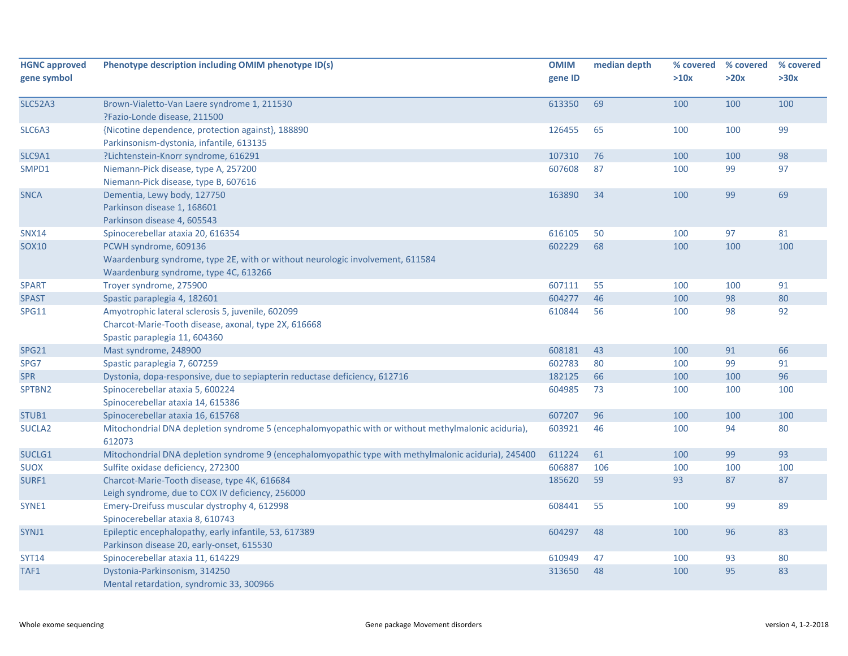| <b>HGNC approved</b><br>gene symbol | Phenotype description including OMIM phenotype ID(s)                                                                                            | <b>OMIM</b><br>gene ID | median depth | % covered<br>>10x | % covered<br>>20x | % covered<br>>30x |
|-------------------------------------|-------------------------------------------------------------------------------------------------------------------------------------------------|------------------------|--------------|-------------------|-------------------|-------------------|
| <b>SLC52A3</b>                      | Brown-Vialetto-Van Laere syndrome 1, 211530<br>?Fazio-Londe disease, 211500                                                                     | 613350                 | 69           | 100               | 100               | 100               |
| SLC6A3                              | {Nicotine dependence, protection against}, 188890<br>Parkinsonism-dystonia, infantile, 613135                                                   | 126455                 | 65           | 100               | 100               | 99                |
| SLC9A1                              | ?Lichtenstein-Knorr syndrome, 616291                                                                                                            | 107310                 | 76           | 100               | 100               | 98                |
| SMPD1                               | Niemann-Pick disease, type A, 257200<br>Niemann-Pick disease, type B, 607616                                                                    | 607608                 | 87           | 100               | 99                | 97                |
| <b>SNCA</b>                         | Dementia, Lewy body, 127750<br>Parkinson disease 1, 168601<br>Parkinson disease 4, 605543                                                       | 163890                 | 34           | 100               | 99                | 69                |
| <b>SNX14</b>                        | Spinocerebellar ataxia 20, 616354                                                                                                               | 616105                 | 50           | 100               | 97                | 81                |
| <b>SOX10</b>                        | PCWH syndrome, 609136<br>Waardenburg syndrome, type 2E, with or without neurologic involvement, 611584<br>Waardenburg syndrome, type 4C, 613266 | 602229                 | 68           | 100               | 100               | 100               |
| <b>SPART</b>                        | Troyer syndrome, 275900                                                                                                                         | 607111                 | 55           | 100               | 100               | 91                |
| <b>SPAST</b>                        | Spastic paraplegia 4, 182601                                                                                                                    | 604277                 | 46           | 100               | 98                | 80                |
| <b>SPG11</b>                        | Amyotrophic lateral sclerosis 5, juvenile, 602099<br>Charcot-Marie-Tooth disease, axonal, type 2X, 616668<br>Spastic paraplegia 11, 604360      | 610844                 | 56           | 100               | 98                | 92                |
| <b>SPG21</b>                        | Mast syndrome, 248900                                                                                                                           | 608181                 | 43           | 100               | 91                | 66                |
| SPG7                                | Spastic paraplegia 7, 607259                                                                                                                    | 602783                 | 80           | 100               | 99                | 91                |
| <b>SPR</b>                          | Dystonia, dopa-responsive, due to sepiapterin reductase deficiency, 612716                                                                      | 182125                 | 66           | 100               | 100               | 96                |
| SPTBN2                              | Spinocerebellar ataxia 5, 600224<br>Spinocerebellar ataxia 14, 615386                                                                           | 604985                 | 73           | 100               | 100               | 100               |
| STUB1                               | Spinocerebellar ataxia 16, 615768                                                                                                               | 607207                 | 96           | 100               | 100               | 100               |
| <b>SUCLA2</b>                       | Mitochondrial DNA depletion syndrome 5 (encephalomyopathic with or without methylmalonic aciduria),<br>612073                                   | 603921                 | 46           | 100               | 94                | 80                |
| SUCLG1                              | Mitochondrial DNA depletion syndrome 9 (encephalomyopathic type with methylmalonic aciduria), 245400                                            | 611224                 | 61           | 100               | 99                | 93                |
| <b>SUOX</b>                         | Sulfite oxidase deficiency, 272300                                                                                                              | 606887                 | 106          | 100               | 100               | 100               |
| SURF1                               | Charcot-Marie-Tooth disease, type 4K, 616684<br>Leigh syndrome, due to COX IV deficiency, 256000                                                | 185620                 | 59           | 93                | 87                | 87                |
| SYNE1                               | Emery-Dreifuss muscular dystrophy 4, 612998<br>Spinocerebellar ataxia 8, 610743                                                                 | 608441                 | 55           | 100               | 99                | 89                |
| SYNJ1                               | Epileptic encephalopathy, early infantile, 53, 617389<br>Parkinson disease 20, early-onset, 615530                                              | 604297                 | 48           | 100               | 96                | 83                |
| <b>SYT14</b>                        | Spinocerebellar ataxia 11, 614229                                                                                                               | 610949                 | 47           | 100               | 93                | 80                |
| TAF1                                | Dystonia-Parkinsonism, 314250<br>Mental retardation, syndromic 33, 300966                                                                       | 313650                 | 48           | 100               | 95                | 83                |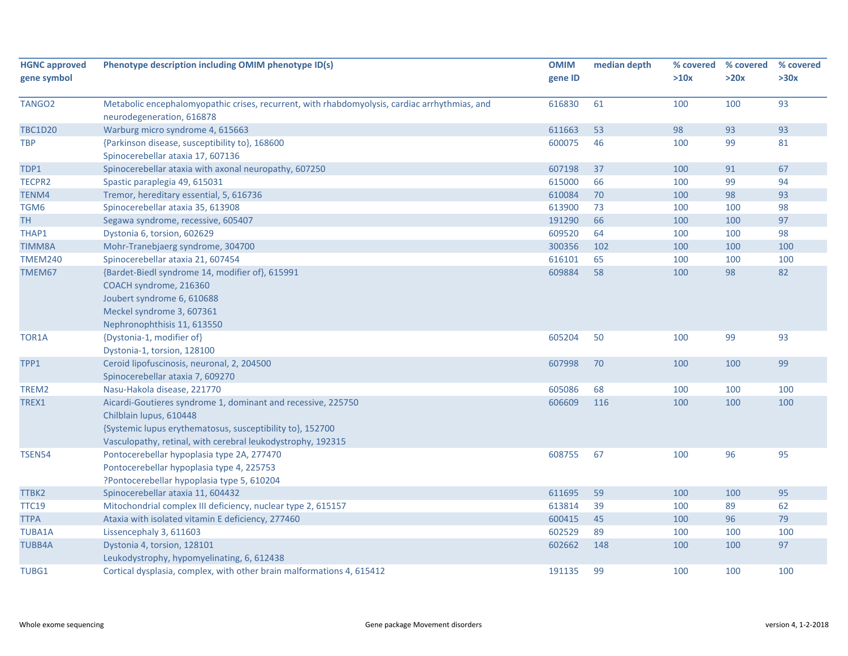| <b>HGNC approved</b><br>gene symbol | Phenotype description including OMIM phenotype ID(s)                                                                       | <b>OMIM</b><br>gene ID | median depth | % covered<br>>10x | % covered<br>>20x | % covered<br>>30x |
|-------------------------------------|----------------------------------------------------------------------------------------------------------------------------|------------------------|--------------|-------------------|-------------------|-------------------|
| TANGO <sub>2</sub>                  | Metabolic encephalomyopathic crises, recurrent, with rhabdomyolysis, cardiac arrhythmias, and<br>neurodegeneration, 616878 | 616830                 | 61           | 100               | 100               | 93                |
| <b>TBC1D20</b>                      | Warburg micro syndrome 4, 615663                                                                                           | 611663                 | 53           | 98                | 93                | 93                |
| <b>TBP</b>                          | {Parkinson disease, susceptibility to}, 168600                                                                             | 600075                 | 46           | 100               | 99                | 81                |
|                                     | Spinocerebellar ataxia 17, 607136                                                                                          |                        |              |                   |                   |                   |
| TDP1                                | Spinocerebellar ataxia with axonal neuropathy, 607250                                                                      | 607198                 | 37           | 100               | 91                | 67                |
| TECPR2                              | Spastic paraplegia 49, 615031                                                                                              | 615000                 | 66           | 100               | 99                | 94                |
| TENM4                               | Tremor, hereditary essential, 5, 616736                                                                                    | 610084                 | 70           | 100               | 98                | 93                |
| TGM6                                | Spinocerebellar ataxia 35, 613908                                                                                          | 613900                 | 73           | 100               | 100               | 98                |
| TН                                  | Segawa syndrome, recessive, 605407                                                                                         | 191290                 | 66           | 100               | 100               | 97                |
| THAP1                               | Dystonia 6, torsion, 602629                                                                                                | 609520                 | 64           | 100               | 100               | 98                |
| <b>TIMM8A</b>                       | Mohr-Tranebjaerg syndrome, 304700                                                                                          | 300356                 | 102          | 100               | 100               | 100               |
| <b>TMEM240</b>                      | Spinocerebellar ataxia 21, 607454                                                                                          | 616101                 | 65           | 100               | 100               | 100               |
| TMEM67                              | {Bardet-Biedl syndrome 14, modifier of}, 615991                                                                            | 609884                 | 58           | 100               | 98                | 82                |
|                                     | COACH syndrome, 216360                                                                                                     |                        |              |                   |                   |                   |
|                                     | Joubert syndrome 6, 610688                                                                                                 |                        |              |                   |                   |                   |
|                                     | Meckel syndrome 3, 607361                                                                                                  |                        |              |                   |                   |                   |
|                                     | Nephronophthisis 11, 613550                                                                                                |                        |              |                   |                   |                   |
| TOR1A                               | {Dystonia-1, modifier of}                                                                                                  | 605204                 | 50           | 100               | 99                | 93                |
|                                     | Dystonia-1, torsion, 128100                                                                                                |                        |              |                   |                   |                   |
| TPP1                                | Ceroid lipofuscinosis, neuronal, 2, 204500                                                                                 | 607998                 | 70           | 100               | 100               | 99                |
|                                     | Spinocerebellar ataxia 7, 609270                                                                                           |                        |              |                   |                   |                   |
| TREM2                               | Nasu-Hakola disease, 221770                                                                                                | 605086                 | 68           | 100               | 100               | 100               |
| TREX1                               | Aicardi-Goutieres syndrome 1, dominant and recessive, 225750                                                               | 606609                 | 116          | 100               | 100               | 100               |
|                                     | Chilblain lupus, 610448                                                                                                    |                        |              |                   |                   |                   |
|                                     | {Systemic lupus erythematosus, susceptibility to}, 152700                                                                  |                        |              |                   |                   |                   |
|                                     | Vasculopathy, retinal, with cerebral leukodystrophy, 192315                                                                |                        |              |                   |                   |                   |
| <b>TSEN54</b>                       | Pontocerebellar hypoplasia type 2A, 277470                                                                                 | 608755                 | 67           | 100               | 96                | 95                |
|                                     | Pontocerebellar hypoplasia type 4, 225753                                                                                  |                        |              |                   |                   |                   |
|                                     | ?Pontocerebellar hypoplasia type 5, 610204                                                                                 |                        |              |                   |                   |                   |
| TTBK2                               | Spinocerebellar ataxia 11, 604432                                                                                          | 611695                 | 59           | 100               | 100               | 95                |
| <b>TTC19</b>                        | Mitochondrial complex III deficiency, nuclear type 2, 615157                                                               | 613814                 | 39           | 100               | 89                | 62                |
| <b>TTPA</b>                         | Ataxia with isolated vitamin E deficiency, 277460                                                                          | 600415                 | 45           | 100               | 96                | 79                |
| <b>TUBA1A</b>                       | Lissencephaly 3, 611603                                                                                                    | 602529                 | 89           | 100               | 100               | 100               |
| <b>TUBB4A</b>                       | Dystonia 4, torsion, 128101                                                                                                | 602662                 | 148          | 100               | 100               | 97                |
|                                     | Leukodystrophy, hypomyelinating, 6, 612438                                                                                 |                        |              |                   |                   |                   |
| TUBG1                               | Cortical dysplasia, complex, with other brain malformations 4, 615412                                                      | 191135                 | 99           | 100               | 100               | 100               |